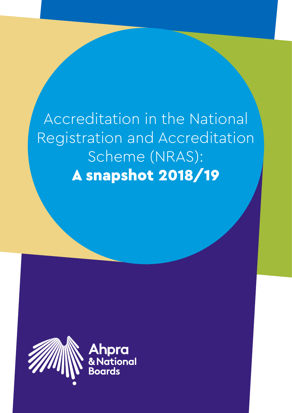Accreditation in the National Registration and Accreditation Scheme (NRAS): A snapshot 2018/19

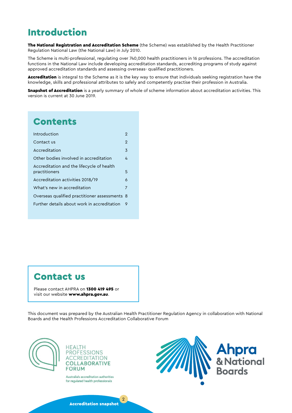## Introduction

The National Registration and Accreditation Scheme (the Scheme) was established by the Health Practitioner Regulation National Law (the National Law) in July 2010.

The Scheme is multi-professional, regulating over 740,000 health practitioners in 16 professions. The accreditation functions in the National Law include developing accreditation standards, accrediting programs of study against approved accreditation standards and assessing overseas- qualified practitioners.

Accreditation is integral to the Scheme as it is the key way to ensure that individuals seeking registration have the knowledge, skills and professional attributes to safely and competently practise their profession in Australia.

Snapshot of Accreditation is a yearly summary of whole of scheme information about accreditation activities. This version is current at 30 June 2019.

## **Contents**

| Introduction                                               | 2 |
|------------------------------------------------------------|---|
| Contact us                                                 | 2 |
| Accreditation                                              | 3 |
| Other bodies involved in accreditation                     | 4 |
| Accreditation and the lifecycle of health<br>practitioners | 5 |
| Accreditation activities 2018/19                           | 6 |
| What's new in accreditation                                | 7 |
| Overseas qualified practitioner assessments 8              |   |
| Further details about work in accreditation                | 9 |
|                                                            |   |

## Contact us

Please contact AHPRA on 1300 419 495 or visit our website www.ahpra.gov.au.

This document was prepared by the Australian Health Practitioner Regulation Agency in collaboration with National Boards and the Health Professions Accreditation Collaborative Forum





Australia's accreditation authorities for regulated health professionals

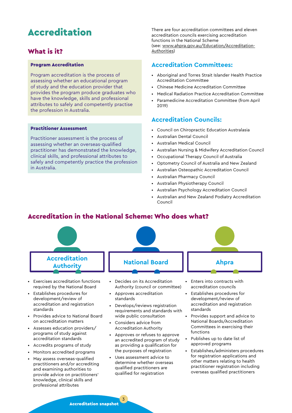## <span id="page-2-0"></span>Accreditation

#### What is it?

#### Program Accreditation

Program accreditation is the process of assessing whether an educational program of study and the education provider that provides the program produce graduates who have the knowledge, skills and professional attributes to safely and competently practise the profession in Australia.

#### Practitioner Assessment

Practitioner assessment is the process of assessing whether an overseas-qualified practitioner has demonstrated the knowledge, clinical skills, and professional attributes to safely and competently practice the profession in Australia.

There are four accreditation committees and eleven accreditation councils exercising accreditation functions in the National Scheme (see: [www.ahpra.gov.au/Education/Accreditation-](http://www.ahpra.gov.au/Education/Accreditation-Authorities)[Authorities](http://www.ahpra.gov.au/Education/Accreditation-Authorities))

#### **Accreditation Committees:**

- Aboriginal and Torres Strait Islander Health Practice Accreditation Committee
- Chinese Medicine Accreditation Committee
- Medical Radiation Practice Accreditation Committee
- Paramedicine Accreditation Committee (from April 2019)

#### **Accreditation Councils:**

- Council on Chiropractic Education Australasia
- Australian Dental Council
- Australian Medical Council
- Australian Nursing & Midwifery Accreditation Council
- Occupational Therapy Council of Australia
- Optometry Council of Australia and New Zealand
- Australian Osteopathic Accreditation Council
- Australian Pharmacy Council
- Australian Physiotherapy Council
- Australian Psychology Accreditation Council
- Australian and New Zealand Podiatry Accreditation Council

#### Accreditation in the National Scheme: Who does what?

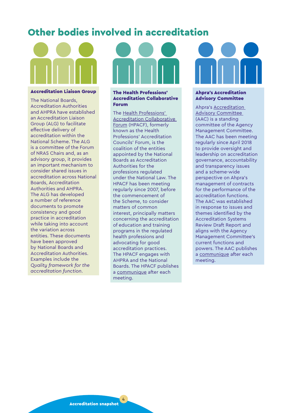## <span id="page-3-0"></span>Other bodies involved in accreditation



#### Accreditation Liaison Group

The National Boards, Accreditation Authorities and AHPRA have established an Accreditation Liaison Group (ALG) to facilitate effective delivery of accreditation within the National Scheme. The ALG is a committee of the Forum of NRAS Chairs and, as an advisory group, it provides an important mechanism to consider shared issues in accreditation across National Boards, Accreditation Authorities and AHPRA. The ALG has developed a number of reference documents to promote consistency and good practice in accreditation while taking into account the variation across entities. These documents have been approved by National Boards and Accreditation Authorities. Examples include the *Quality framework for the accreditation function*.

#### The Health Professions' Accreditation Collaborative Forum

The [Health Professions'](http://www.hpacf.org.au/)  [Accreditation Collaborative](http://www.hpacf.org.au/)  [Forum](http://www.hpacf.org.au/) (HPACF), formerly known as the Health Professions' Accreditation Councils' Forum, is the coalition of the entities appointed by the National Boards as Accreditation Authorities for the professions regulated under the National Law. The HPACF has been meeting regularly since 2007, before the commencement of the Scheme, to consider matters of common interest, principally matters concerning the accreditation of education and training programs in the regulated health professions and advocating for good accreditation practices. The HPACF engages with AHPRA and the National Boards. The HPACF publishes a [communique](http://hpacf.org.au/communiques/) after each meeting.

#### Ahpra's Accreditation Advisory Committee

Ahpra's [Accreditation](https://www.ahpra.gov.au/About-AHPRA/Who-We-Are/Agency-Management-Committee/Accreditation-Advisory-Committee.aspx)  [Advisory Committee](https://www.ahpra.gov.au/About-AHPRA/Who-We-Are/Agency-Management-Committee/Accreditation-Advisory-Committee.aspx)  (AAC) is a standing committee of the Agency Management Committee. The AAC has been meeting regularly since April 2018 to provide oversight and leadership on accreditation governance, accountability and transparency issues and a scheme-wide perspective on Ahpra's management of contracts for the performance of the accreditation functions. The AAC was established in response to issues and themes identified by the Accreditation Systems Review Draft Report and aligns with the Agency Management Committee's current functions and powers. The AAC publishes a [communique](https://www.ahpra.gov.au/About-AHPRA/Who-We-Are/Agency-Management-Committee/Accreditation-Advisory-Committee.aspx) after each meeting.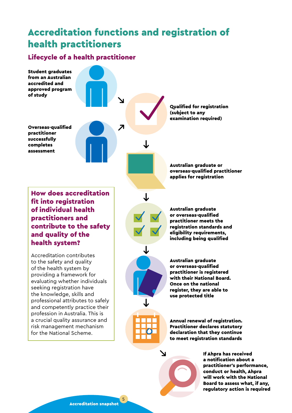## <span id="page-4-0"></span>Accreditation functions and registration of health practitioners

#### Lifecycle of a health practitioner



Accreditation snapshot

5

conduct or health, Ahpra will work with the National Board to assess what, if any, regulatory action is required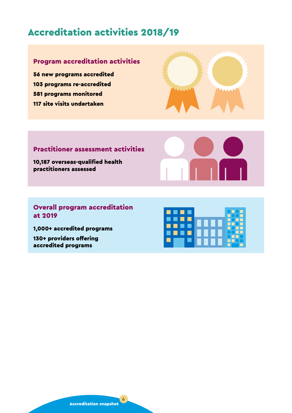## <span id="page-5-0"></span>Accreditation activities 2018/19

## Program accreditation activities

56 new programs accredited 103 programs re-accredited 581 programs monitored 117 site visits undertaken



### Practitioner assessment activities

10,187 overseas-qualified health practitioners assessed



#### Overall program accreditation at 2019

1,000+ accredited programs

130+ providers offering accredited programs

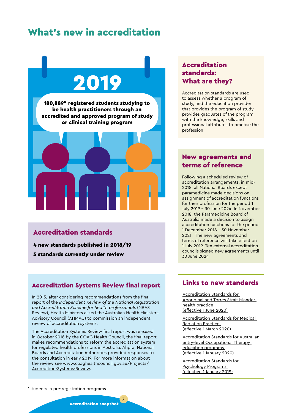## <span id="page-6-0"></span>What's new in accreditation

# 2019

180,889\* registered students studying to be health practitioners through an accredited and approved program of study or clinical training program



#### Accreditation standards

4 new standards published in 2018/19

5 standards currently under review

#### Accreditation Systems Review final report

In 2015, after considering recommendations from the final report of the *Independent Review of the National Registration and Accreditation Scheme for health professionals* (NRAS Review), Health Ministers asked the Australian Health Ministers' Advisory Council (AHMAC) to commission an independent review of accreditation systems.

The Accreditation Systems Review final report was released in October 2018 by the COAG Health Council, the final report makes recommendations to reform the accreditation system for regulated health professions in Australia. Ahpra, National Boards and Accreditation Authorities provided responses to the consultation in early 2019. For more information about the review see [www.coaghealthcouncil.gov.au/Projects/](http://www.coaghealthcouncil.gov.au/Projects/Accredition-Systems-Review) [Accredition-Systems-Review](http://www.coaghealthcouncil.gov.au/Projects/Accredition-Systems-Review).

#### Accreditation standards: What are they?

Accreditation standards are used to assess whether a program of study, and the education provider that provides the program of study, provides graduates of the program with the knowledge, skills and professional attributes to practise the profession

#### New agreements and terms of reference

Following a scheduled review of accreditation arrangements, in mid-2018, all National Boards except paramedicine made decisions on assignment of accreditation functions for their profession for the period 1 July 2019 – 30 June 2024. In November 2018, the Paramedicine Board of Australia made a decision to assign accreditation functions for the period 1 December 2018 – 30 November 2021. The new agreements and terms of reference will take effect on 1 July 2019. Ten external accreditation councils signed new agreements until 30 June 2024

#### Links to new standards

[Accreditation Standards for](https://www.atsihealthpracticeboard.gov.au/Accreditation.aspx)  [Aboriginal and Torres Strait Islander](https://www.atsihealthpracticeboard.gov.au/Accreditation.aspx)  [health practice](https://www.atsihealthpracticeboard.gov.au/Accreditation.aspx)  [\(effective 1 June 2020\)](https://www.atsihealthpracticeboard.gov.au/Accreditation.aspx)

[Accreditation Standards for Medical](https://www.medicalradiationpracticeboard.gov.au/Accreditation.aspx)  [Radiation Practice](https://www.medicalradiationpracticeboard.gov.au/Accreditation.aspx)  [\(effective 1 March 2020\)](https://www.medicalradiationpracticeboard.gov.au/Accreditation.aspx)

[Accreditation Standards for Australian](https://www.occupationaltherapyboard.gov.au/Accreditation.aspx) [entry-level Occupational Therapy](https://www.occupationaltherapyboard.gov.au/Accreditation.aspx)  [education programs](https://www.occupationaltherapyboard.gov.au/Accreditation.aspx)  [\(effective 1 January 2020\)](https://www.occupationaltherapyboard.gov.au/Accreditation.aspx)

[Accreditation Standards for](http://www.psychologycouncil.org.au/sites/default/files/public/APAC_Accreditation_Standards_2018_Jan_Version_for_Online_Publishing_Single.pdf)  [Psychology Programs](http://www.psychologycouncil.org.au/sites/default/files/public/APAC_Accreditation_Standards_2018_Jan_Version_for_Online_Publishing_Single.pdf)  [\(effective 1 January 2019\)](http://www.psychologycouncil.org.au/sites/default/files/public/APAC_Accreditation_Standards_2018_Jan_Version_for_Online_Publishing_Single.pdf)

\*students in pre-registration programs

Accreditation snapshot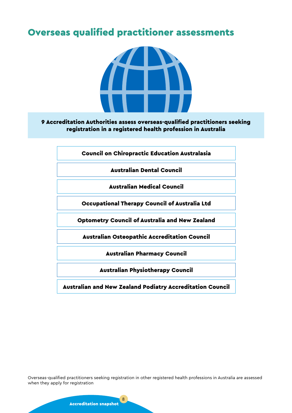## <span id="page-7-0"></span>Overseas qualified practitioner assessments



#### 9 Accreditation Authorities assess overseas-qualified practitioners seeking registration in a registered health profession in Australia

Council on Chiropractic Education Australasia

Australian Dental Council

Australian Medical Council

Occupational Therapy Council of Australia Ltd

Optometry Council of Australia and New Zealand

Australian Osteopathic Accreditation Council

Australian Pharmacy Council

Australian Physiotherapy Council

Australian and New Zealand Podiatry Accreditation Council

Overseas-qualified practitioners seeking registration in other registered health professions in Australia are assessed when they apply for registration